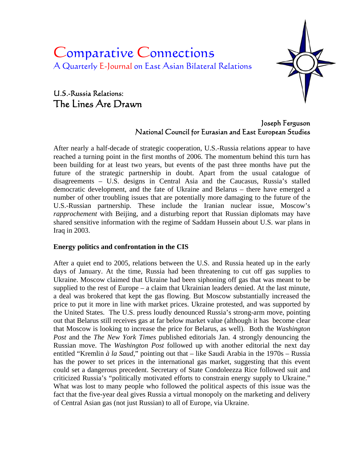# Comparative Connections A Quarterly E-Journal on East Asian Bilateral Relations

## U.S.-Russia Relations: The Lines Are Drawn



### Joseph Ferguson National Council for Eurasian and East European Studies

After nearly a half-decade of strategic cooperation, U.S.-Russia relations appear to have reached a turning point in the first months of 2006. The momentum behind this turn has been building for at least two years, but events of the past three months have put the future of the strategic partnership in doubt. Apart from the usual catalogue of disagreements – U.S. designs in Central Asia and the Caucasus, Russia's stalled democratic development, and the fate of Ukraine and Belarus – there have emerged a number of other troubling issues that are potentially more damaging to the future of the U.S.-Russian partnership. These include the Iranian nuclear issue, Moscow's *rapprochement* with Beijing, and a disturbing report that Russian diplomats may have shared sensitive information with the regime of Saddam Hussein about U.S. war plans in Iraq in 2003.

### **Energy politics and confrontation in the CIS**

After a quiet end to 2005, relations between the U.S. and Russia heated up in the early days of January. At the time, Russia had been threatening to cut off gas supplies to Ukraine. Moscow claimed that Ukraine had been siphoning off gas that was meant to be supplied to the rest of Europe – a claim that Ukrainian leaders denied. At the last minute, a deal was brokered that kept the gas flowing. But Moscow substantially increased the price to put it more in line with market prices. Ukraine protested, and was supported by the United States. The U.S. press loudly denounced Russia's strong-arm move, pointing out that Belarus still receives gas at far below market value (although it has become clear that Moscow is looking to increase the price for Belarus, as well). Both the *Washington Post* and the *The New York Times* published editorials Jan. 4 strongly denouncing the Russian move. The *Washington Post* followed up with another editorial the next day entitled "Kremlin *à la Saud*," pointing out that – like Saudi Arabia in the 1970s – Russia has the power to set prices in the international gas market, suggesting that this event could set a dangerous precedent. Secretary of State Condoleezza Rice followed suit and criticized Russia's "politically motivated efforts to constrain energy supply to Ukraine." What was lost to many people who followed the political aspects of this issue was the fact that the five-year deal gives Russia a virtual monopoly on the marketing and delivery of Central Asian gas (not just Russian) to all of Europe, via Ukraine.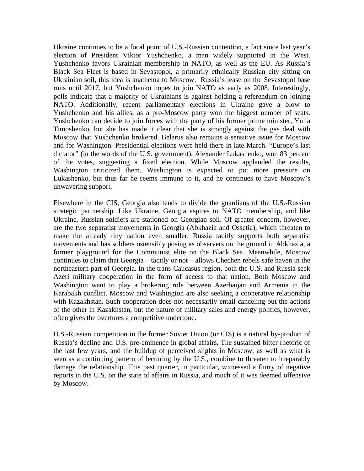Ukraine continues to be a focal point of U.S.-Russian contention, a fact since last year's election of President Viktor Yushchenko, a man widely supported in the West. Yushchenko favors Ukrainian membership in NATO, as well as the EU. As Russia's Black Sea Fleet is based in Sevastopol, a primarily ethnically Russian city sitting on Ukrainian soil, this idea is anathema to Moscow. Russia's lease on the Sevastopol base runs until 2017, but Yushchenko hopes to join NATO as early as 2008. Interestingly, polls indicate that a majority of Ukrainians is against holding a referendum on joining NATO. Additionally, recent parliamentary elections in Ukraine gave a blow to Yushchenko and his allies, as a pro-Moscow party won the biggest number of seats. Yushchenko can decide to join forces with the party of his former prime minister, Yulia Timoshenko, but she has made it clear that she is strongly against the gas deal with Moscow that Yushchenko brokered. Belarus also remains a sensitive issue for Moscow and for Washington. Presidential elections were held there in late March. "Europe's last dictator" (in the words of the U.S. government), Alexander Lukashenko, won 83 percent of the votes, suggesting a fixed election. While Moscow applauded the results, Washington criticized them. Washington is expected to put more pressure on Lukashenko, but thus far he seems immune to it, and he continues to have Moscow's unwavering support.

Elsewhere in the CIS, Georgia also tends to divide the guardians of the U.S.-Russian strategic partnership. Like Ukraine, Georgia aspires to NATO membership, and like Ukraine, Russian soldiers are stationed on Georgian soil. Of greater concern, however, are the two separatist movements in Georgia (Abkhazia and Ossetia), which threaten to make the already tiny nation even smaller. Russia tacitly supports both separatist movements and has soldiers ostensibly posing as observers on the ground in Abkhazia, a former playground for the Communist elite on the Black Sea. Meanwhile, Moscow continues to claim that Georgia – tacitly or not – allows Chechen rebels safe haven in the northeastern part of Georgia. In the trans-Caucasus region, both the U.S. and Russia seek Azeri military cooperation in the form of access to that nation. Both Moscow and Washington want to play a brokering role between Azerbaijan and Armenia in the Karabakh conflict. Moscow and Washington are also seeking a cooperative relationship with Kazakhstan. Such cooperation does not necessarily entail canceling out the actions of the other in Kazakhstan, but the nature of military sales and energy politics, however, often gives the overtures a competitive undertone.

U.S.-Russian competition in the former Soviet Union (or CIS) is a natural by-product of Russia's decline and U.S. pre-eminence in global affairs. The sustained bitter rhetoric of the last few years, and the buildup of perceived slights in Moscow, as well as what is seen as a continuing pattern of lecturing by the U.S., combine to threaten to irreparably damage the relationship. This past quarter, in particular, witnessed a flurry of negative reports in the U.S. on the state of affairs in Russia, and much of it was deemed offensive by Moscow.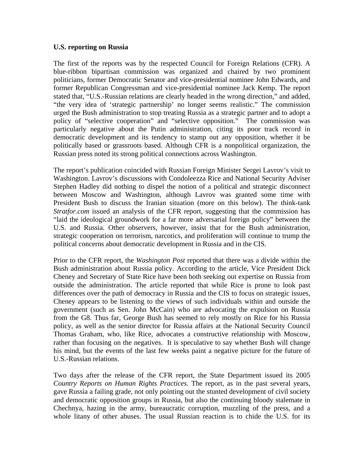#### **U.S. reporting on Russia**

The first of the reports was by the respected Council for Foreign Relations (CFR). A blue-ribbon bipartisan commission was organized and chaired by two prominent politicians, former Democratic Senator and vice-presidential nominee John Edwards, and former Republican Congressman and vice-presidential nominee Jack Kemp. The report stated that, "U.S.-Russian relations are clearly headed in the wrong direction," and added, "the very idea of 'strategic partnership' no longer seems realistic." The commission urged the Bush administration to stop treating Russia as a strategic partner and to adopt a policy of "selective cooperation" and "selective opposition." The commission was particularly negative about the Putin administration, citing its poor track record in democratic development and its tendency to stamp out any opposition, whether it be politically based or grassroots based. Although CFR is a nonpolitical organization, the Russian press noted its strong political connections across Washington.

The report's publication coincided with Russian Foreign Minister Sergei Lavrov's visit to Washington. Lavrov's discussions with Condoleezza Rice and National Security Adviser Stephen Hadley did nothing to dispel the notion of a political and strategic disconnect between Moscow and Washington, although Lavrov was granted some time with President Bush to discuss the Iranian situation (more on this below). The think-tank *Stratfor.com* issued an analysis of the CFR report, suggesting that the commission has "laid the ideological groundwork for a far more adversarial foreign policy" between the U.S. and Russia. Other observers, however, insist that for the Bush administration, strategic cooperation on terrorism, narcotics, and proliferation will continue to trump the political concerns about democratic development in Russia and in the CIS.

Prior to the CFR report, the *Washington Post* reported that there was a divide within the Bush administration about Russia policy. According to the article, Vice President Dick Cheney and Secretary of State Rice have been both seeking out expertise on Russia from outside the administration. The article reported that while Rice is prone to look past differences over the path of democracy in Russia and the CIS to focus on strategic issues, Cheney appears to be listening to the views of such individuals within and outside the government (such as Sen. John McCain) who are advocating the expulsion on Russia from the G8. Thus far, George Bush has seemed to rely mostly on Rice for his Russia policy, as well as the senior director for Russia affairs at the National Security Council Thomas Graham, who, like Rice, advocates a constructive relationship with Moscow, rather than focusing on the negatives. It is speculative to say whether Bush will change his mind, but the events of the last few weeks paint a negative picture for the future of U.S.-Russian relations.

Two days after the release of the CFR report, the State Department issued its 2005 *Country Reports on Human Rights Practices*. The report, as in the past several years, gave Russia a failing grade, not only pointing out the stunted development of civil society and democratic opposition groups in Russia, but also the continuing bloody stalemate in Chechnya, hazing in the army, bureaucratic corruption, muzzling of the press, and a whole litany of other abuses. The usual Russian reaction is to chide the U.S. for its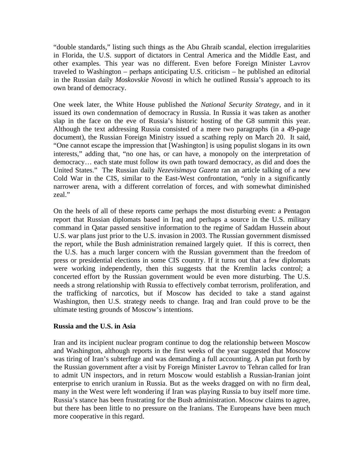"double standards," listing such things as the Abu Ghraib scandal, election irregularities in Florida, the U.S. support of dictators in Central America and the Middle East, and other examples. This year was no different. Even before Foreign Minister Lavrov traveled to Washington – perhaps anticipating U.S. criticism – he published an editorial in the Russian daily *Moskovskie Novosti* in which he outlined Russia's approach to its own brand of democracy.

One week later, the White House published the *National Security Strategy*, and in it issued its own condemnation of democracy in Russia. In Russia it was taken as another slap in the face on the eve of Russia's historic hosting of the G8 summit this year. Although the text addressing Russia consisted of a mere two paragraphs (in a 49-page document), the Russian Foreign Ministry issued a scathing reply on March 20. It said, "One cannot escape the impression that [Washington] is using populist slogans in its own interests," adding that, "no one has, or can have, a monopoly on the interpretation of democracy… each state must follow its own path toward democracy, as did and does the United States." The Russian daily *Nezevisimaya Gazeta* ran an article talking of a new Cold War in the CIS, similar to the East-West confrontation, "only in a significantly narrower arena, with a different correlation of forces, and with somewhat diminished zeal."

On the heels of all of these reports came perhaps the most disturbing event: a Pentagon report that Russian diplomats based in Iraq and perhaps a source in the U.S. military command in Qatar passed sensitive information to the regime of Saddam Hussein about U.S. war plans just prior to the U.S. invasion in 2003. The Russian government dismissed the report, while the Bush administration remained largely quiet. If this is correct, then the U.S. has a much larger concern with the Russian government than the freedom of press or presidential elections in some CIS country. If it turns out that a few diplomats were working independently, then this suggests that the Kremlin lacks control; a concerted effort by the Russian government would be even more disturbing. The U.S. needs a strong relationship with Russia to effectively combat terrorism, proliferation, and the trafficking of narcotics, but if Moscow has decided to take a stand against Washington, then U.S. strategy needs to change. Iraq and Iran could prove to be the ultimate testing grounds of Moscow's intentions.

### **Russia and the U.S. in Asia**

Iran and its incipient nuclear program continue to dog the relationship between Moscow and Washington, although reports in the first weeks of the year suggested that Moscow was tiring of Iran's subterfuge and was demanding a full accounting. A plan put forth by the Russian government after a visit by Foreign Minister Lavrov to Tehran called for Iran to admit UN inspectors, and in return Moscow would establish a Russian-Iranian joint enterprise to enrich uranium in Russia. But as the weeks dragged on with no firm deal, many in the West were left wondering if Iran was playing Russia to buy itself more time. Russia's stance has been frustrating for the Bush administration. Moscow claims to agree, but there has been little to no pressure on the Iranians. The Europeans have been much more cooperative in this regard.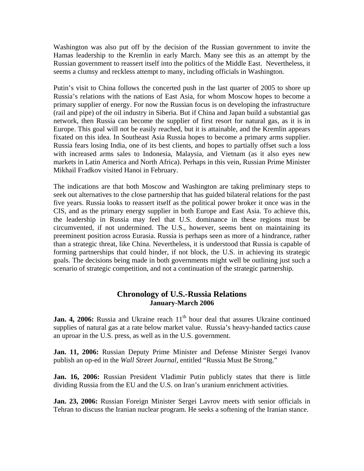Washington was also put off by the decision of the Russian government to invite the Hamas leadership to the Kremlin in early March. Many see this as an attempt by the Russian government to reassert itself into the politics of the Middle East. Nevertheless, it seems a clumsy and reckless attempt to many, including officials in Washington.

Putin's visit to China follows the concerted push in the last quarter of 2005 to shore up Russia's relations with the nations of East Asia, for whom Moscow hopes to become a primary supplier of energy. For now the Russian focus is on developing the infrastructure (rail and pipe) of the oil industry in Siberia. But if China and Japan build a substantial gas network, then Russia can become the supplier of first resort for natural gas, as it is in Europe. This goal will not be easily reached, but it is attainable, and the Kremlin appears fixated on this idea. In Southeast Asia Russia hopes to become a primary arms supplier. Russia fears losing India, one of its best clients, and hopes to partially offset such a loss with increased arms sales to Indonesia, Malaysia, and Vietnam (as it also eyes new markets in Latin America and North Africa). Perhaps in this vein, Russian Prime Minister Mikhail Fradkov visited Hanoi in February.

The indications are that both Moscow and Washington are taking preliminary steps to seek out alternatives to the close partnership that has guided bilateral relations for the past five years. Russia looks to reassert itself as the political power broker it once was in the CIS, and as the primary energy supplier in both Europe and East Asia. To achieve this, the leadership in Russia may feel that U.S. dominance in these regions must be circumvented, if not undermined. The U.S., however, seems bent on maintaining its preeminent position across Eurasia. Russia is perhaps seen as more of a hindrance, rather than a strategic threat, like China. Nevertheless, it is understood that Russia is capable of forming partnerships that could hinder, if not block, the U.S. in achieving its strategic goals. The decisions being made in both governments might well be outlining just such a scenario of strategic competition, and not a continuation of the strategic partnership.

### **Chronology of U.S.-Russia Relations January-March 2006**

Jan. 4, 2006: Russia and Ukraine reach 11<sup>th</sup> hour deal that assures Ukraine continued supplies of natural gas at a rate below market value. Russia's heavy-handed tactics cause an uproar in the U.S. press, as well as in the U.S. government.

**Jan. 11, 2006:** Russian Deputy Prime Minister and Defense Minister Sergei Ivanov publish an op-ed in the *Wall Street Journal*, entitled "Russia Must Be Strong."

**Jan. 16, 2006:** Russian President Vladimir Putin publicly states that there is little dividing Russia from the EU and the U.S. on Iran's uranium enrichment activities.

**Jan. 23, 2006:** Russian Foreign Minister Sergei Lavrov meets with senior officials in Tehran to discuss the Iranian nuclear program. He seeks a softening of the Iranian stance.